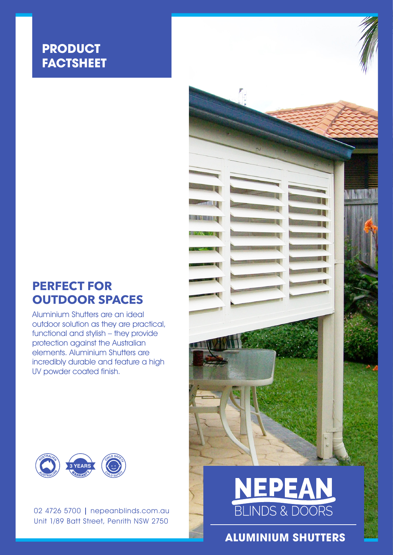# **PRODUCT FACTSHEET**

# **PERFECT FOR OUTDOOR SPACES**

Aluminium Shutters are an ideal outdoor solution as they are practical, functional and stylish – they provide protection against the Australian elements. Aluminium Shutters are incredibly durable and feature a high UV powder coated finish.



02 4726 5700 | nepeanblinds.com.au Unit 1/89 Batt Street, Penrith NSW 2750



**ALUMINIUM SHUTTERS**